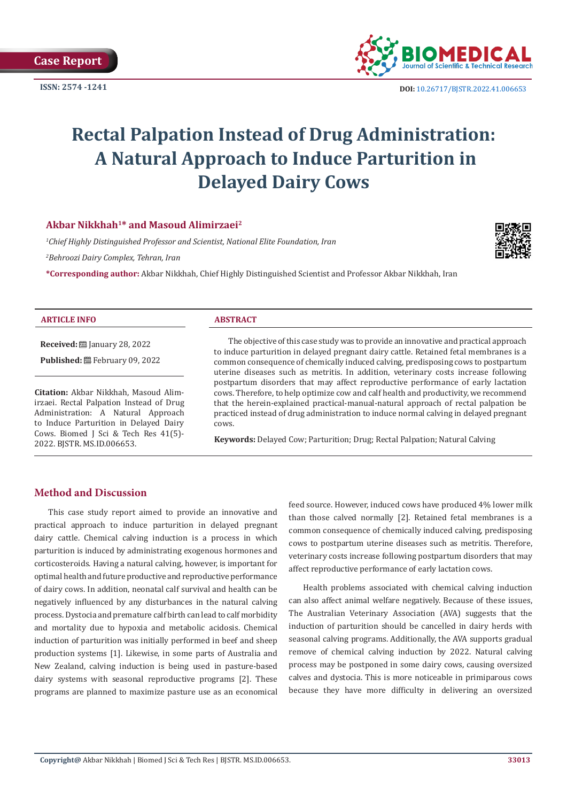

**ISSN:** 2574 -1241 **DOI:** [10.26717/BJSTR.2022.41.006653](https://dx.doi.org/10.26717/BJSTR.2022.41.006653)

# **Rectal Palpation Instead of Drug Administration: A Natural Approach to Induce Parturition in Delayed Dairy Cows**

# **Akbar Nikkhah1\* and Masoud Alimirzaei2**

*1 Chief Highly Distinguished Professor and Scientist, National Elite Foundation, Iran*

*2 Behroozi Dairy Complex, Tehran, Iran*

**\*Corresponding author:** Akbar Nikkhah, Chief Highly Distinguished Scientist and Professor Akbar Nikkhah, Iran



#### **ARTICLE INFO ABSTRACT**

**Received:** January 28, 2022

Published: **■**February 09, 2022

**Citation:** Akbar Nikkhah, Masoud Alimirzaei. Rectal Palpation Instead of Drug Administration: A Natural Approach to Induce Parturition in Delayed Dairy Cows. Biomed J Sci & Tech Res 41(5)- 2022. BJSTR. MS.ID.006653.

The objective of this case study was to provide an innovative and practical approach to induce parturition in delayed pregnant dairy cattle. Retained fetal membranes is a common consequence of chemically induced calving, predisposing cows to postpartum uterine diseases such as metritis. In addition, veterinary costs increase following postpartum disorders that may affect reproductive performance of early lactation cows. Therefore, to help optimize cow and calf health and productivity, we recommend that the herein-explained practical-manual-natural approach of rectal palpation be practiced instead of drug administration to induce normal calving in delayed pregnant cows.

**Keywords:** Delayed Cow; Parturition; Drug; Rectal Palpation; Natural Calving

# **Method and Discussion**

This case study report aimed to provide an innovative and practical approach to induce parturition in delayed pregnant dairy cattle. Chemical calving induction is a process in which parturition is induced by administrating exogenous hormones and corticosteroids. Having a natural calving, however, is important for optimal health and future productive and reproductive performance of dairy cows. In addition, neonatal calf survival and health can be negatively influenced by any disturbances in the natural calving process. Dystocia and premature calf birth can lead to calf morbidity and mortality due to hypoxia and metabolic acidosis. Chemical induction of parturition was initially performed in beef and sheep production systems [1]. Likewise, in some parts of Australia and New Zealand, calving induction is being used in pasture-based dairy systems with seasonal reproductive programs [2]. These programs are planned to maximize pasture use as an economical

feed source. However, induced cows have produced 4% lower milk than those calved normally [2]. Retained fetal membranes is a common consequence of chemically induced calving, predisposing cows to postpartum uterine diseases such as metritis. Therefore, veterinary costs increase following postpartum disorders that may affect reproductive performance of early lactation cows.

Health problems associated with chemical calving induction can also affect animal welfare negatively. Because of these issues, The Australian Veterinary Association (AVA) suggests that the induction of parturition should be cancelled in dairy herds with seasonal calving programs. Additionally, the AVA supports gradual remove of chemical calving induction by 2022. Natural calving process may be postponed in some dairy cows, causing oversized calves and dystocia. This is more noticeable in primiparous cows because they have more difficulty in delivering an oversized